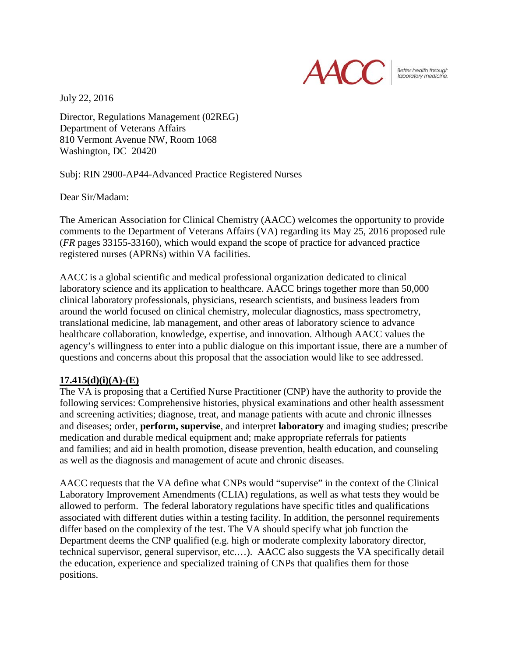

Better health through laboratory medicine.

July 22, 2016

Director, Regulations Management (02REG) Department of Veterans Affairs 810 Vermont Avenue NW, Room 1068 Washington, DC 20420

Subj: RIN 2900-AP44-Advanced Practice Registered Nurses

Dear Sir/Madam:

The American Association for Clinical Chemistry (AACC) welcomes the opportunity to provide comments to the Department of Veterans Affairs (VA) regarding its May 25, 2016 proposed rule (*FR* pages 33155-33160), which would expand the scope of practice for advanced practice registered nurses (APRNs) within VA facilities.

AACC is a global scientific and medical professional organization dedicated to clinical laboratory science and its application to healthcare. AACC brings together more than 50,000 clinical laboratory professionals, physicians, research scientists, and business leaders from around the world focused on clinical chemistry, molecular diagnostics, mass spectrometry, translational medicine, lab management, and other areas of laboratory science to advance healthcare collaboration, knowledge, expertise, and innovation. Although AACC values the agency's willingness to enter into a public dialogue on this important issue, there are a number of questions and concerns about this proposal that the association would like to see addressed.

## **17.415(d)(i)(A)-(E)**

The VA is proposing that a Certified Nurse Practitioner (CNP) have the authority to provide the following services: Comprehensive histories, physical examinations and other health assessment and screening activities; diagnose, treat, and manage patients with acute and chronic illnesses and diseases; order, **perform, supervise**, and interpret **laboratory** and imaging studies; prescribe medication and durable medical equipment and; make appropriate referrals for patients and families; and aid in health promotion, disease prevention, health education, and counseling as well as the diagnosis and management of acute and chronic diseases.

AACC requests that the VA define what CNPs would "supervise" in the context of the Clinical Laboratory Improvement Amendments (CLIA) regulations, as well as what tests they would be allowed to perform. The federal laboratory regulations have specific titles and qualifications associated with different duties within a testing facility. In addition, the personnel requirements differ based on the complexity of the test. The VA should specify what job function the Department deems the CNP qualified (e.g. high or moderate complexity laboratory director, technical supervisor, general supervisor, etc.…). AACC also suggests the VA specifically detail the education, experience and specialized training of CNPs that qualifies them for those positions.